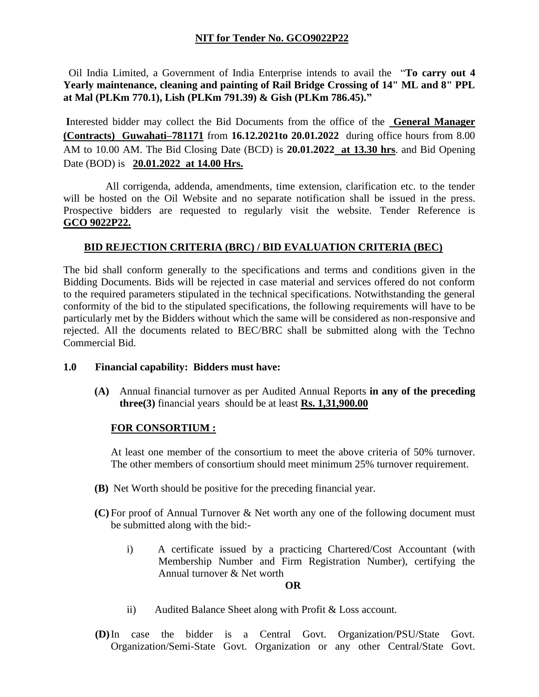# **NIT for Tender No. GCO9022P22**

 Oil India Limited, a Government of India Enterprise intends to avail the "**To carry out 4 Yearly maintenance, cleaning and painting of Rail Bridge Crossing of 14" ML and 8" PPL at Mal (PLKm 770.1), Lish (PLKm 791.39) & Gish (PLKm 786.45)."**

**I**nterested bidder may collect the Bid Documents from the office of the **General Manager (Contracts) Guwahati–781171** from **16.12.2021to 20.01.2022** during office hours from 8.00 AM to 10.00 AM. The Bid Closing Date (BCD) is **20.01.2022 at 13.30 hrs**. and Bid Opening Date (BOD) is **20.01.2022 at 14.00 Hrs.**

 All corrigenda, addenda, amendments, time extension, clarification etc. to the tender will be hosted on the Oil Website and no separate notification shall be issued in the press. Prospective bidders are requested to regularly visit the website. Tender Reference is **GCO 9022P22.**

### **BID REJECTION CRITERIA (BRC) / BID EVALUATION CRITERIA (BEC)**

The bid shall conform generally to the specifications and terms and conditions given in the Bidding Documents. Bids will be rejected in case material and services offered do not conform to the required parameters stipulated in the technical specifications. Notwithstanding the general conformity of the bid to the stipulated specifications, the following requirements will have to be particularly met by the Bidders without which the same will be considered as non-responsive and rejected. All the documents related to BEC/BRC shall be submitted along with the Techno Commercial Bid.

### **1.0 Financial capability: Bidders must have:**

**(A)** Annual financial turnover as per Audited Annual Reports **in any of the preceding three(3)** financial years should be at least **Rs. 1,31,900.00**

### **FOR CONSORTIUM :**

At least one member of the consortium to meet the above criteria of 50% turnover. The other members of consortium should meet minimum 25% turnover requirement.

- **(B)** Net Worth should be positive for the preceding financial year.
- **(C)** For proof of Annual Turnover & Net worth any one of the following document must be submitted along with the bid:
	- i) A certificate issued by a practicing Chartered/Cost Accountant (with Membership Number and Firm Registration Number), certifying the Annual turnover & Net worth

#### **OR**

- ii) Audited Balance Sheet along with Profit & Loss account.
- **(D)**In case the bidder is a Central Govt. Organization/PSU/State Govt. Organization/Semi-State Govt. Organization or any other Central/State Govt.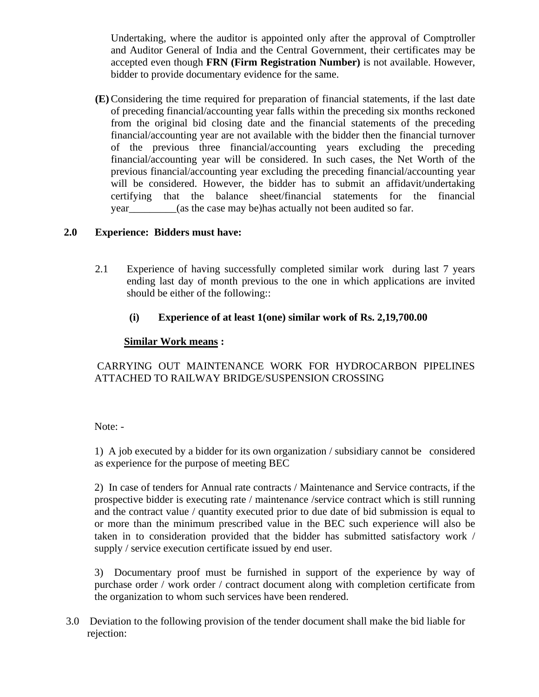Undertaking, where the auditor is appointed only after the approval of Comptroller and Auditor General of India and the Central Government, their certificates may be accepted even though **FRN (Firm Registration Number)** is not available. However, bidder to provide documentary evidence for the same.

**(E)** Considering the time required for preparation of financial statements, if the last date of preceding financial/accounting year falls within the preceding six months reckoned from the original bid closing date and the financial statements of the preceding financial/accounting year are not available with the bidder then the financial turnover of the previous three financial/accounting years excluding the preceding financial/accounting year will be considered. In such cases, the Net Worth of the previous financial/accounting year excluding the preceding financial/accounting year will be considered. However, the bidder has to submit an affidavit/undertaking certifying that the balance sheet/financial statements for the financial year\_\_\_\_\_\_\_\_\_(as the case may be)has actually not been audited so far.

## **2.0 Experience: Bidders must have:**

- 2.1 Experience of having successfully completed similar work during last 7 years ending last day of month previous to the one in which applications are invited should be either of the following::
	- **(i) Experience of at least 1(one) similar work of Rs. 2,19,700.00**

## **Similar Work means :**

CARRYING OUT MAINTENANCE WORK FOR HYDROCARBON PIPELINES ATTACHED TO RAILWAY BRIDGE/SUSPENSION CROSSING

Note: -

1) A job executed by a bidder for its own organization / subsidiary cannot be considered as experience for the purpose of meeting BEC

2) In case of tenders for Annual rate contracts / Maintenance and Service contracts, if the prospective bidder is executing rate / maintenance /service contract which is still running and the contract value / quantity executed prior to due date of bid submission is equal to or more than the minimum prescribed value in the BEC such experience will also be taken in to consideration provided that the bidder has submitted satisfactory work / supply / service execution certificate issued by end user.

3) Documentary proof must be furnished in support of the experience by way of purchase order / work order / contract document along with completion certificate from the organization to whom such services have been rendered.

3.0 Deviation to the following provision of the tender document shall make the bid liable for rejection: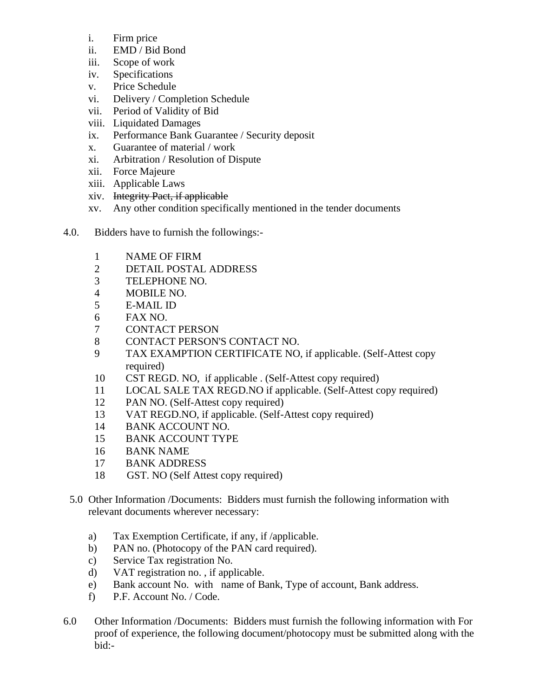- i. Firm price
- ii. EMD / Bid Bond
- iii. Scope of work
- iv. Specifications
- v. Price Schedule
- vi. Delivery / Completion Schedule
- vii. Period of Validity of Bid
- viii. Liquidated Damages
- ix. Performance Bank Guarantee / Security deposit
- x. Guarantee of material / work
- xi. Arbitration / Resolution of Dispute
- xii. Force Majeure
- xiii. Applicable Laws
- xiv. Integrity Pact, if applicable
- xv. Any other condition specifically mentioned in the tender documents
- 4.0. Bidders have to furnish the followings:-
	- 1 NAME OF FIRM
	- 2 DETAIL POSTAL ADDRESS
	- 3 TELEPHONE NO.
	- 4 MOBILE NO.
	- 5 E-MAIL ID
	- 6 FAX NO.
	- 7 CONTACT PERSON
	- 8 CONTACT PERSON'S CONTACT NO.
	- 9 TAX EXAMPTION CERTIFICATE NO, if applicable. (Self-Attest copy required)
	- 10 CST REGD. NO, if applicable . (Self-Attest copy required)
	- 11 LOCAL SALE TAX REGD.NO if applicable. (Self-Attest copy required)
	- 12 PAN NO. (Self-Attest copy required)
	- 13 VAT REGD.NO, if applicable. (Self-Attest copy required)
	- 14 BANK ACCOUNT NO.
	- 15 BANK ACCOUNT TYPE
	- 16 BANK NAME
	- 17 BANK ADDRESS
	- 18 GST. NO (Self Attest copy required)
	- 5.0 Other Information /Documents: Bidders must furnish the following information with relevant documents wherever necessary:
		- a) Tax Exemption Certificate, if any, if /applicable.
		- b) PAN no. (Photocopy of the PAN card required).
		- c) Service Tax registration No.
		- d) VAT registration no. , if applicable.
		- e) Bank account No. with name of Bank, Type of account, Bank address.
		- f) P.F. Account No. / Code.
- 6.0 Other Information /Documents: Bidders must furnish the following information with For proof of experience, the following document/photocopy must be submitted along with the bid:-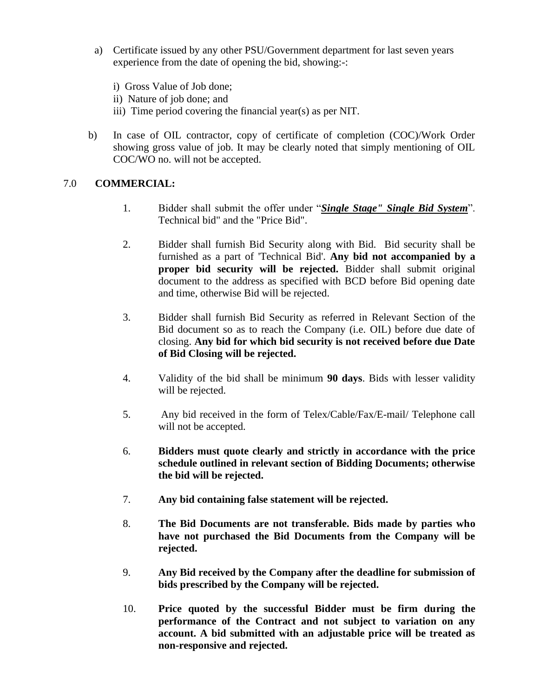- a) Certificate issued by any other PSU/Government department for last seven years experience from the date of opening the bid, showing:-:
	- i) Gross Value of Job done;
	- ii) Nature of job done; and
	- iii) Time period covering the financial year(s) as per NIT.
- b) In case of OIL contractor, copy of certificate of completion (COC)/Work Order showing gross value of job. It may be clearly noted that simply mentioning of OIL COC/WO no. will not be accepted.

# 7.0 **COMMERCIAL:**

- 1. Bidder shall submit the offer under "*Single Stage" Single Bid System*". Technical bid" and the "Price Bid".
- 2. Bidder shall furnish Bid Security along with Bid. Bid security shall be furnished as a part of 'Technical Bid'. **Any bid not accompanied by a proper bid security will be rejected.** Bidder shall submit original document to the address as specified with BCD before Bid opening date and time, otherwise Bid will be rejected.
- 3. Bidder shall furnish Bid Security as referred in Relevant Section of the Bid document so as to reach the Company (i.e. OIL) before due date of closing. **Any bid for which bid security is not received before due Date of Bid Closing will be rejected.**
- 4. Validity of the bid shall be minimum **90 days**. Bids with lesser validity will be rejected.
- 5. Any bid received in the form of Telex/Cable/Fax/E-mail/ Telephone call will not be accepted.
- 6. **Bidders must quote clearly and strictly in accordance with the price schedule outlined in relevant section of Bidding Documents; otherwise the bid will be rejected.**
- 7. **Any bid containing false statement will be rejected.**
- 8. **The Bid Documents are not transferable. Bids made by parties who have not purchased the Bid Documents from the Company will be rejected.**
- 9. **Any Bid received by the Company after the deadline for submission of bids prescribed by the Company will be rejected.**
- 10. **Price quoted by the successful Bidder must be firm during the performance of the Contract and not subject to variation on any account. A bid submitted with an adjustable price will be treated as non-responsive and rejected.**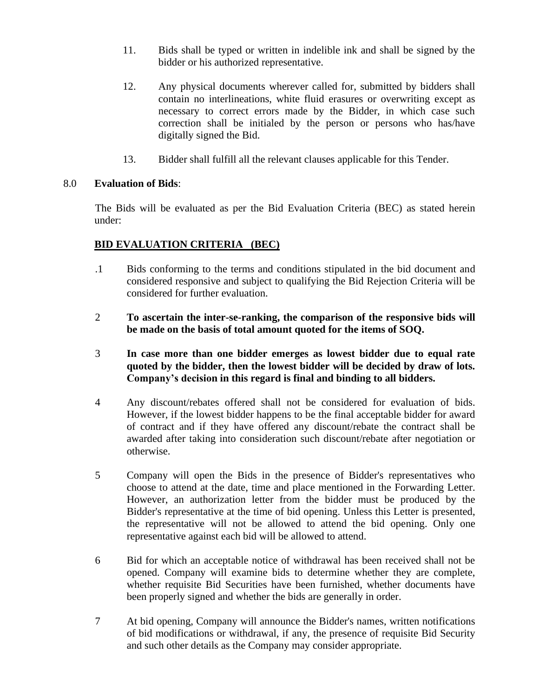- 11. Bids shall be typed or written in indelible ink and shall be signed by the bidder or his authorized representative.
- 12. Any physical documents wherever called for, submitted by bidders shall contain no interlineations, white fluid erasures or overwriting except as necessary to correct errors made by the Bidder, in which case such correction shall be initialed by the person or persons who has/have digitally signed the Bid.
- 13. Bidder shall fulfill all the relevant clauses applicable for this Tender.

### 8.0 **Evaluation of Bids**:

The Bids will be evaluated as per the Bid Evaluation Criteria (BEC) as stated herein under:

## **BID EVALUATION CRITERIA (BEC)**

- .1 Bids conforming to the terms and conditions stipulated in the bid document and considered responsive and subject to qualifying the Bid Rejection Criteria will be considered for further evaluation.
- 2 **To ascertain the inter-se-ranking, the comparison of the responsive bids will be made on the basis of total amount quoted for the items of SOQ.**
- 3 **In case more than one bidder emerges as lowest bidder due to equal rate quoted by the bidder, then the lowest bidder will be decided by draw of lots. Company's decision in this regard is final and binding to all bidders.**
- 4 Any discount/rebates offered shall not be considered for evaluation of bids. However, if the lowest bidder happens to be the final acceptable bidder for award of contract and if they have offered any discount/rebate the contract shall be awarded after taking into consideration such discount/rebate after negotiation or otherwise.
- 5 Company will open the Bids in the presence of Bidder's representatives who choose to attend at the date, time and place mentioned in the Forwarding Letter. However, an authorization letter from the bidder must be produced by the Bidder's representative at the time of bid opening. Unless this Letter is presented, the representative will not be allowed to attend the bid opening. Only one representative against each bid will be allowed to attend.
- 6 Bid for which an acceptable notice of withdrawal has been received shall not be opened. Company will examine bids to determine whether they are complete, whether requisite Bid Securities have been furnished, whether documents have been properly signed and whether the bids are generally in order.
- 7 At bid opening, Company will announce the Bidder's names, written notifications of bid modifications or withdrawal, if any, the presence of requisite Bid Security and such other details as the Company may consider appropriate.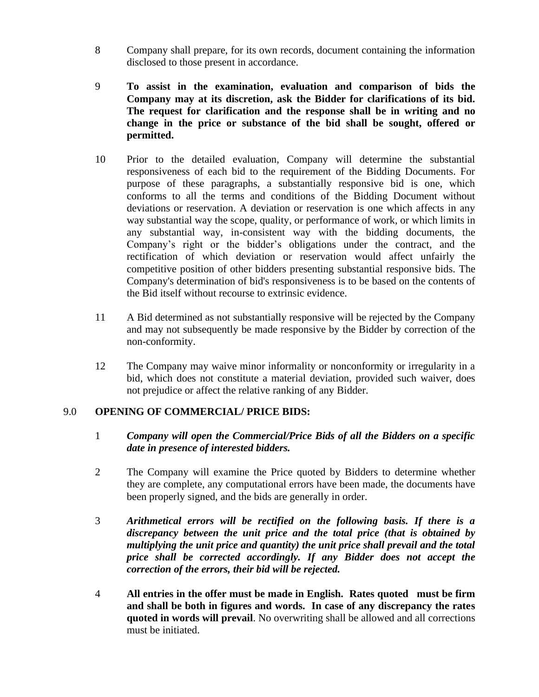- 8 Company shall prepare, for its own records, document containing the information disclosed to those present in accordance.
- 9 **To assist in the examination, evaluation and comparison of bids the Company may at its discretion, ask the Bidder for clarifications of its bid. The request for clarification and the response shall be in writing and no change in the price or substance of the bid shall be sought, offered or permitted.**
- 10 Prior to the detailed evaluation, Company will determine the substantial responsiveness of each bid to the requirement of the Bidding Documents. For purpose of these paragraphs, a substantially responsive bid is one, which conforms to all the terms and conditions of the Bidding Document without deviations or reservation. A deviation or reservation is one which affects in any way substantial way the scope, quality, or performance of work, or which limits in any substantial way, in-consistent way with the bidding documents, the Company's right or the bidder's obligations under the contract, and the rectification of which deviation or reservation would affect unfairly the competitive position of other bidders presenting substantial responsive bids. The Company's determination of bid's responsiveness is to be based on the contents of the Bid itself without recourse to extrinsic evidence.
- 11 A Bid determined as not substantially responsive will be rejected by the Company and may not subsequently be made responsive by the Bidder by correction of the non-conformity.
- 12 The Company may waive minor informality or nonconformity or irregularity in a bid, which does not constitute a material deviation, provided such waiver, does not prejudice or affect the relative ranking of any Bidder.

# 9.0 **OPENING OF COMMERCIAL/ PRICE BIDS:**

- 1 *Company will open the Commercial/Price Bids of all the Bidders on a specific date in presence of interested bidders.*
- 2 The Company will examine the Price quoted by Bidders to determine whether they are complete, any computational errors have been made, the documents have been properly signed, and the bids are generally in order.
- 3 *Arithmetical errors will be rectified on the following basis. If there is a discrepancy between the unit price and the total price (that is obtained by multiplying the unit price and quantity) the unit price shall prevail and the total price shall be corrected accordingly. If any Bidder does not accept the correction of the errors, their bid will be rejected.*
- 4 **All entries in the offer must be made in English. Rates quoted must be firm and shall be both in figures and words. In case of any discrepancy the rates quoted in words will prevail**. No overwriting shall be allowed and all corrections must be initiated.